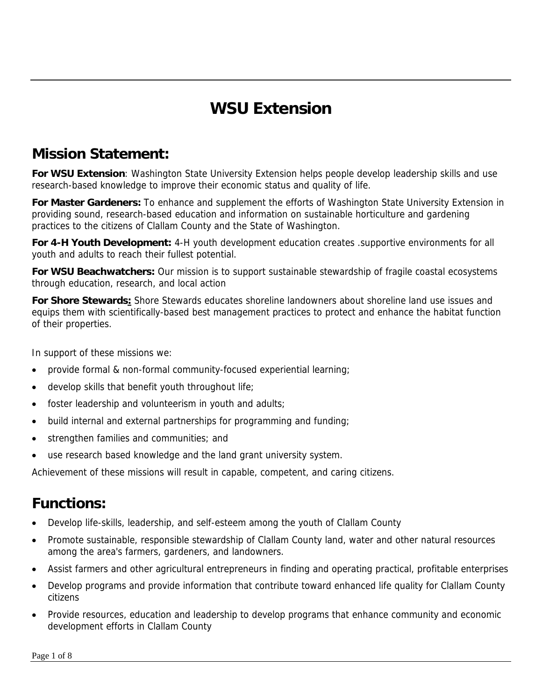# **WSU Extension**

## **Mission Statement:**

**For WSU Extension**: Washington State University Extension helps people develop leadership skills and use research-based knowledge to improve their economic status and quality of life.

**For Master Gardeners:** To enhance and supplement the efforts of Washington State University Extension in providing sound, research-based education and information on sustainable horticulture and gardening practices to the citizens of Clallam County and the State of Washington.

**For 4-H Youth Development:** 4-H youth development education creates .supportive environments for all youth and adults to reach their fullest potential.

**For WSU Beachwatchers:** Our mission is to support sustainable stewardship of fragile coastal ecosystems through education, research, and local action

**For Shore Stewards:** Shore Stewards educates shoreline landowners about shoreline land use issues and equips them with scientifically-based best management practices to protect and enhance the habitat function of their properties.

In support of these missions we:

- provide formal & non-formal community-focused experiential learning;
- develop skills that benefit youth throughout life;
- foster leadership and volunteerism in youth and adults;
- build internal and external partnerships for programming and funding;
- strengthen families and communities; and
- use research based knowledge and the land grant university system.

Achievement of these missions will result in capable, competent, and caring citizens.

### **Functions:**

- Develop life-skills, leadership, and self-esteem among the youth of Clallam County
- Promote sustainable, responsible stewardship of Clallam County land, water and other natural resources among the area's farmers, gardeners, and landowners.
- Assist farmers and other agricultural entrepreneurs in finding and operating practical, profitable enterprises
- Develop programs and provide information that contribute toward enhanced life quality for Clallam County citizens
- Provide resources, education and leadership to develop programs that enhance community and economic development efforts in Clallam County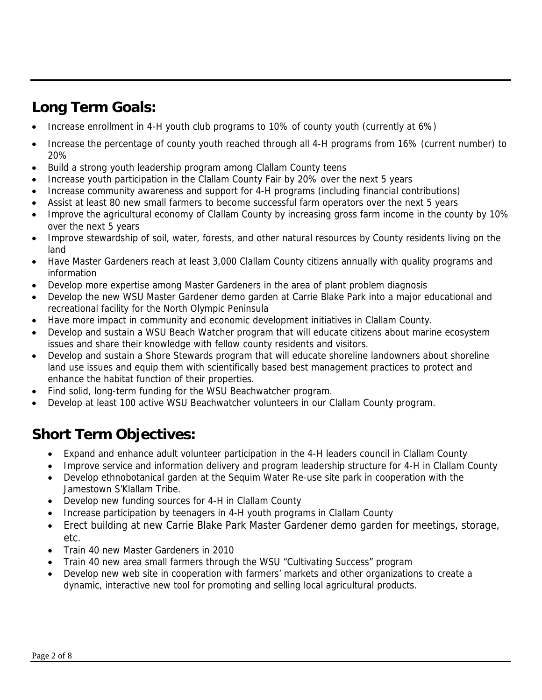# **Long Term Goals:**

- Increase enrollment in 4-H youth club programs to 10% of county youth (currently at 6%)
- Increase the percentage of county youth reached through all 4-H programs from 16% (current number) to 20%
- Build a strong youth leadership program among Clallam County teens
- Increase youth participation in the Clallam County Fair by 20% over the next 5 years
- Increase community awareness and support for 4-H programs (including financial contributions)
- Assist at least 80 new small farmers to become successful farm operators over the next 5 years
- Improve the agricultural economy of Clallam County by increasing gross farm income in the county by 10% over the next 5 years
- Improve stewardship of soil, water, forests, and other natural resources by County residents living on the land
- Have Master Gardeners reach at least 3,000 Clallam County citizens annually with quality programs and information
- Develop more expertise among Master Gardeners in the area of plant problem diagnosis
- Develop the new WSU Master Gardener demo garden at Carrie Blake Park into a major educational and recreational facility for the North Olympic Peninsula
- Have more impact in community and economic development initiatives in Clallam County.
- Develop and sustain a WSU Beach Watcher program that will educate citizens about marine ecosystem issues and share their knowledge with fellow county residents and visitors.
- Develop and sustain a Shore Stewards program that will educate shoreline landowners about shoreline land use issues and equip them with scientifically based best management practices to protect and enhance the habitat function of their properties.
- Find solid, long-term funding for the WSU Beachwatcher program.
- Develop at least 100 active WSU Beachwatcher volunteers in our Clallam County program.

# **Short Term Objectives:**

- Expand and enhance adult volunteer participation in the 4-H leaders council in Clallam County
- Improve service and information delivery and program leadership structure for 4-H in Clallam County
- Develop ethnobotanical garden at the Sequim Water Re-use site park in cooperation with the Jamestown S'Klallam Tribe.
- Develop new funding sources for 4-H in Clallam County
- Increase participation by teenagers in 4-H youth programs in Clallam County
- Erect building at new Carrie Blake Park Master Gardener demo garden for meetings, storage, etc.
- Train 40 new Master Gardeners in 2010
- Train 40 new area small farmers through the WSU "Cultivating Success" program
- Develop new web site in cooperation with farmers' markets and other organizations to create a dynamic, interactive new tool for promoting and selling local agricultural products.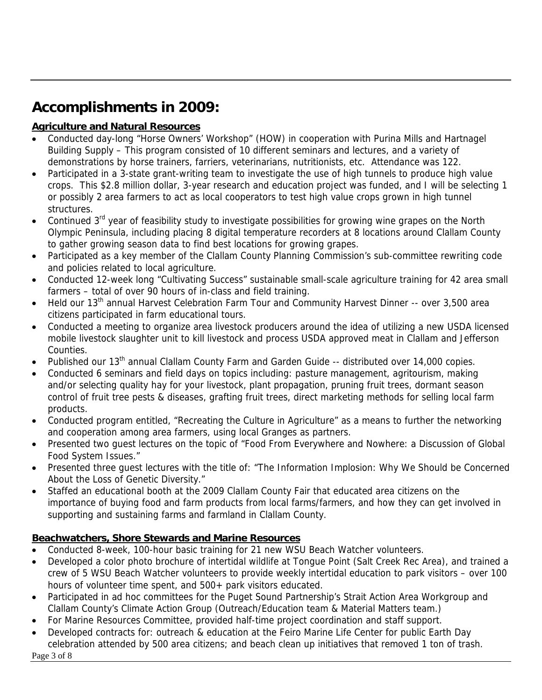# **Accomplishments in 2009:**

#### **Agriculture and Natural Resources**

- Conducted day-long "Horse Owners' Workshop" (HOW) in cooperation with Purina Mills and Hartnagel Building Supply – This program consisted of 10 different seminars and lectures, and a variety of demonstrations by horse trainers, farriers, veterinarians, nutritionists, etc. Attendance was 122.
- Participated in a 3-state grant-writing team to investigate the use of high tunnels to produce high value crops. This \$2.8 million dollar, 3-year research and education project was funded, and I will be selecting 1 or possibly 2 area farmers to act as local cooperators to test high value crops grown in high tunnel structures.
- Continued 3<sup>rd</sup> year of feasibility study to investigate possibilities for growing wine grapes on the North Olympic Peninsula, including placing 8 digital temperature recorders at 8 locations around Clallam County to gather growing season data to find best locations for growing grapes.
- Participated as a key member of the Clallam County Planning Commission's sub-committee rewriting code and policies related to local agriculture.
- Conducted 12-week long "Cultivating Success" sustainable small-scale agriculture training for 42 area small farmers – total of over 90 hours of in-class and field training.
- Held our  $13<sup>th</sup>$  annual Harvest Celebration Farm Tour and Community Harvest Dinner -- over 3,500 area citizens participated in farm educational tours.
- Conducted a meeting to organize area livestock producers around the idea of utilizing a new USDA licensed mobile livestock slaughter unit to kill livestock and process USDA approved meat in Clallam and Jefferson Counties.
- Published our 13<sup>th</sup> annual Clallam County Farm and Garden Guide -- distributed over 14,000 copies.
- Conducted 6 seminars and field days on topics including: pasture management, agritourism, making and/or selecting quality hay for your livestock, plant propagation, pruning fruit trees, dormant season control of fruit tree pests & diseases, grafting fruit trees, direct marketing methods for selling local farm products.
- Conducted program entitled, "Recreating the Culture in Agriculture" as a means to further the networking and cooperation among area farmers, using local Granges as partners.
- Presented two guest lectures on the topic of "Food From Everywhere and Nowhere: a Discussion of Global Food System Issues."
- Presented three guest lectures with the title of: "The Information Implosion: Why We Should be Concerned About the Loss of Genetic Diversity."
- Staffed an educational booth at the 2009 Clallam County Fair that educated area citizens on the importance of buying food and farm products from local farms/farmers, and how they can get involved in supporting and sustaining farms and farmland in Clallam County.

#### **Beachwatchers, Shore Stewards and Marine Resources**

- Conducted 8-week, 100-hour basic training for 21 new WSU Beach Watcher volunteers.
- Developed a color photo brochure of intertidal wildlife at Tongue Point (Salt Creek Rec Area), and trained a crew of 5 WSU Beach Watcher volunteers to provide weekly intertidal education to park visitors – over 100 hours of volunteer time spent, and 500+ park visitors educated.
- Participated in ad hoc committees for the Puget Sound Partnership's Strait Action Area Workgroup and Clallam County's Climate Action Group (Outreach/Education team & Material Matters team.)
- For Marine Resources Committee, provided half-time project coordination and staff support.
- Page 3 of 8 • Developed contracts for: outreach & education at the Feiro Marine Life Center for public Earth Day celebration attended by 500 area citizens; and beach clean up initiatives that removed 1 ton of trash.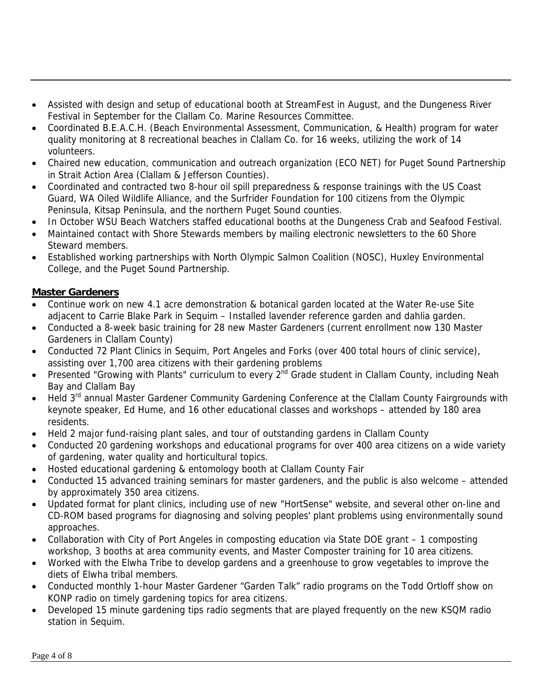- Assisted with design and setup of educational booth at StreamFest in August, and the Dungeness River Festival in September for the Clallam Co. Marine Resources Committee.
- Coordinated B.E.A.C.H. (Beach Environmental Assessment, Communication, & Health) program for water quality monitoring at 8 recreational beaches in Clallam Co. for 16 weeks, utilizing the work of 14 volunteers.
- Chaired new education, communication and outreach organization (ECO NET) for Puget Sound Partnership in Strait Action Area (Clallam & Jefferson Counties).
- Coordinated and contracted two 8-hour oil spill preparedness & response trainings with the US Coast Guard, WA Oiled Wildlife Alliance, and the Surfrider Foundation for 100 citizens from the Olympic Peninsula, Kitsap Peninsula, and the northern Puget Sound counties.
- In October WSU Beach Watchers staffed educational booths at the Dungeness Crab and Seafood Festival.
- Maintained contact with Shore Stewards members by mailing electronic newsletters to the 60 Shore Steward members.
- Established working partnerships with North Olympic Salmon Coalition (NOSC), Huxley Environmental College, and the Puget Sound Partnership.

#### **Master Gardeners**

- Continue work on new 4.1 acre demonstration & botanical garden located at the Water Re-use Site adjacent to Carrie Blake Park in Sequim – Installed lavender reference garden and dahlia garden.
- Conducted a 8-week basic training for 28 new Master Gardeners (current enrollment now 130 Master Gardeners in Clallam County)
- Conducted 72 Plant Clinics in Sequim, Port Angeles and Forks (over 400 total hours of clinic service), assisting over 1,700 area citizens with their gardening problems
- Presented "Growing with Plants" curriculum to every 2<sup>nd</sup> Grade student in Clallam County, including Neah Bay and Clallam Bay
- Held 3rd annual Master Gardener Community Gardening Conference at the Clallam County Fairgrounds with keynote speaker, Ed Hume, and 16 other educational classes and workshops – attended by 180 area residents.
- Held 2 major fund-raising plant sales, and tour of outstanding gardens in Clallam County
- Conducted 20 gardening workshops and educational programs for over 400 area citizens on a wide variety of gardening, water quality and horticultural topics.
- Hosted educational gardening & entomology booth at Clallam County Fair
- Conducted 15 advanced training seminars for master gardeners, and the public is also welcome attended by approximately 350 area citizens.
- Updated format for plant clinics, including use of new "HortSense" website, and several other on-line and CD-ROM based programs for diagnosing and solving peoples' plant problems using environmentally sound approaches.
- Collaboration with City of Port Angeles in composting education via State DOE grant 1 composting workshop, 3 booths at area community events, and Master Composter training for 10 area citizens.
- Worked with the Elwha Tribe to develop gardens and a greenhouse to grow vegetables to improve the diets of Elwha tribal members.
- Conducted monthly 1-hour Master Gardener "Garden Talk" radio programs on the Todd Ortloff show on KONP radio on timely gardening topics for area citizens.
- Developed 15 minute gardening tips radio segments that are played frequently on the new KSQM radio station in Sequim.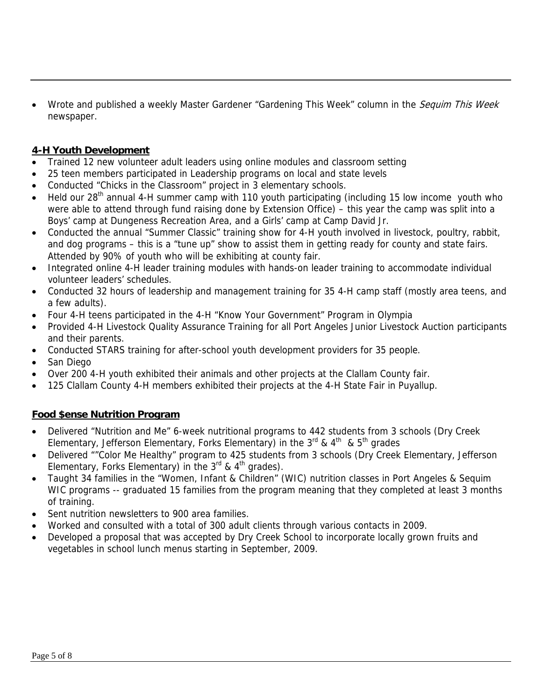Wrote and published a weekly Master Gardener "Gardening This Week" column in the Sequim This Week newspaper.

#### **4-H Youth Development**

- Trained 12 new volunteer adult leaders using online modules and classroom setting
- 25 teen members participated in Leadership programs on local and state levels
- Conducted "Chicks in the Classroom" project in 3 elementary schools.
- Held our  $28<sup>th</sup>$  annual 4-H summer camp with 110 youth participating (including 15 low income youth who were able to attend through fund raising done by Extension Office) – this year the camp was split into a Boys' camp at Dungeness Recreation Area, and a Girls' camp at Camp David Jr.
- Conducted the annual "Summer Classic" training show for 4-H youth involved in livestock, poultry, rabbit, and dog programs – this is a "tune up" show to assist them in getting ready for county and state fairs. Attended by 90% of youth who will be exhibiting at county fair.
- Integrated online 4-H leader training modules with hands-on leader training to accommodate individual volunteer leaders' schedules.
- Conducted 32 hours of leadership and management training for 35 4-H camp staff (mostly area teens, and a few adults).
- Four 4-H teens participated in the 4-H "Know Your Government" Program in Olympia
- Provided 4-H Livestock Quality Assurance Training for all Port Angeles Junior Livestock Auction participants and their parents.
- Conducted STARS training for after-school youth development providers for 35 people.
- San Diego
- Over 200 4-H youth exhibited their animals and other projects at the Clallam County fair.
- 125 Clallam County 4-H members exhibited their projects at the 4-H State Fair in Puyallup.

#### **Food \$ense Nutrition Program**

- Delivered "Nutrition and Me" 6-week nutritional programs to 442 students from 3 schools (Dry Creek Elementary, Jefferson Elementary, Forks Elementary) in the  $3^{rd}$  &  $4^{th}$  &  $5^{th}$  grades
- Delivered ""Color Me Healthy" program to 425 students from 3 schools (Dry Creek Elementary, Jefferson Elementary, Forks Elementary) in the  $3^{rd}$  &  $4^{th}$  grades).
- Taught 34 families in the "Women, Infant & Children" (WIC) nutrition classes in Port Angeles & Sequim WIC programs -- graduated 15 families from the program meaning that they completed at least 3 months of training.
- Sent nutrition newsletters to 900 area families.
- Worked and consulted with a total of 300 adult clients through various contacts in 2009.
- Developed a proposal that was accepted by Dry Creek School to incorporate locally grown fruits and vegetables in school lunch menus starting in September, 2009.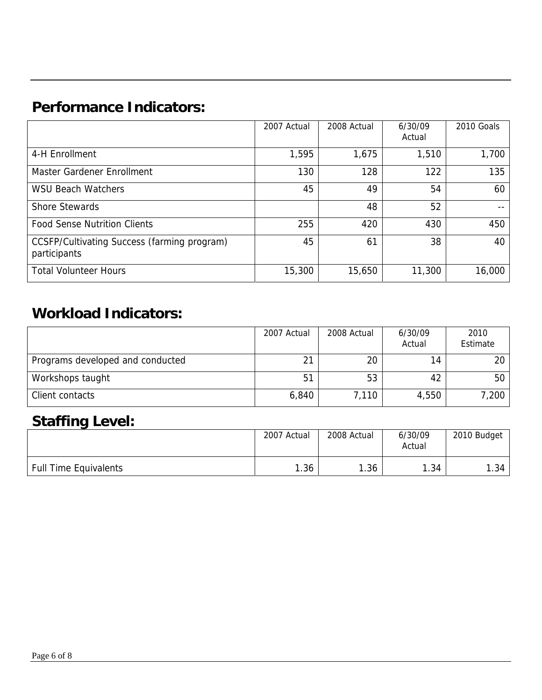# **Performance Indicators:**

|                                                             | 2007 Actual | 2008 Actual | 6/30/09<br>Actual | 2010 Goals |
|-------------------------------------------------------------|-------------|-------------|-------------------|------------|
| 4-H Enrollment                                              | 1,595       | 1,675       | 1,510             | 1,700      |
| Master Gardener Enrollment                                  | 130         | 128         | 122               | 135        |
| <b>WSU Beach Watchers</b>                                   | 45          | 49          | 54                | 60         |
| <b>Shore Stewards</b>                                       |             | 48          | 52                | --         |
| <b>Food Sense Nutrition Clients</b>                         | 255         | 420         | 430               | 450        |
| CCSFP/Cultivating Success (farming program)<br>participants | 45          | 61          | 38                | 40         |
| <b>Total Volunteer Hours</b>                                | 15,300      | 15,650      | 11,300            | 16,000     |

# **Workload Indicators:**

|                                  | 2007 Actual | 2008 Actual | 6/30/09<br>Actual | 2010<br>Estimate |
|----------------------------------|-------------|-------------|-------------------|------------------|
| Programs developed and conducted | 21          | 20          | 14                | 20               |
| Workshops taught                 | 51          | 53          | 42                | 50               |
| Client contacts                  | 6,840       | 7,110       | 4,550             | 7,200            |

## **Staffing Level:**

|                       | 2007 Actual | 2008 Actual | 6/30/09<br>Actual | 2010 Budget |
|-----------------------|-------------|-------------|-------------------|-------------|
| Full Time Equivalents | .36         | 1.36        | 1.34              | .34         |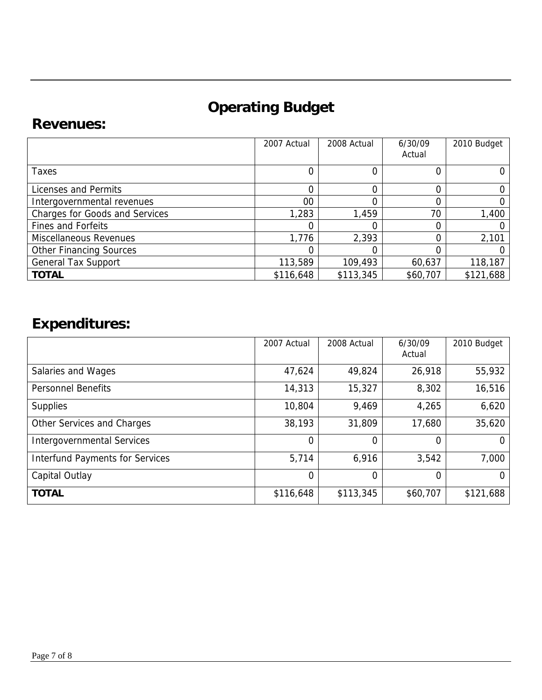# **Operating Budget**

### **Revenues:**

|                                       | 2007 Actual | 2008 Actual | 6/30/09<br>Actual | 2010 Budget |
|---------------------------------------|-------------|-------------|-------------------|-------------|
| Taxes                                 |             |             |                   |             |
| Licenses and Permits                  |             |             |                   |             |
| Intergovernmental revenues            | 00          |             |                   |             |
| <b>Charges for Goods and Services</b> | 1,283       | 1,459       | 70                | 1,400       |
| <b>Fines and Forfeits</b>             |             |             |                   |             |
| Miscellaneous Revenues                | 1,776       | 2,393       |                   | 2,101       |
| <b>Other Financing Sources</b>        |             |             |                   |             |
| <b>General Tax Support</b>            | 113,589     | 109,493     | 60,637            | 118,187     |
| <b>TOTAL</b>                          | \$116,648   | \$113,345   | \$60,707          | \$121,688   |

# **Expenditures:**

|                                        | 2007 Actual    | 2008 Actual | 6/30/09<br>Actual | 2010 Budget |
|----------------------------------------|----------------|-------------|-------------------|-------------|
| Salaries and Wages                     | 47,624         | 49,824      | 26,918            | 55,932      |
| <b>Personnel Benefits</b>              | 14,313         | 15,327      | 8,302             | 16,516      |
| <b>Supplies</b>                        | 10,804         | 9,469       | 4,265             | 6,620       |
| Other Services and Charges             | 38,193         | 31,809      | 17,680            | 35,620      |
| <b>Intergovernmental Services</b>      | $\Omega$       | 0           | 0                 | O           |
| <b>Interfund Payments for Services</b> | 5,714          | 6,916       | 3,542             | 7,000       |
| Capital Outlay                         | $\overline{0}$ | 0           | 0                 | O           |
| <b>TOTAL</b>                           | \$116,648      | \$113,345   | \$60,707          | \$121,688   |